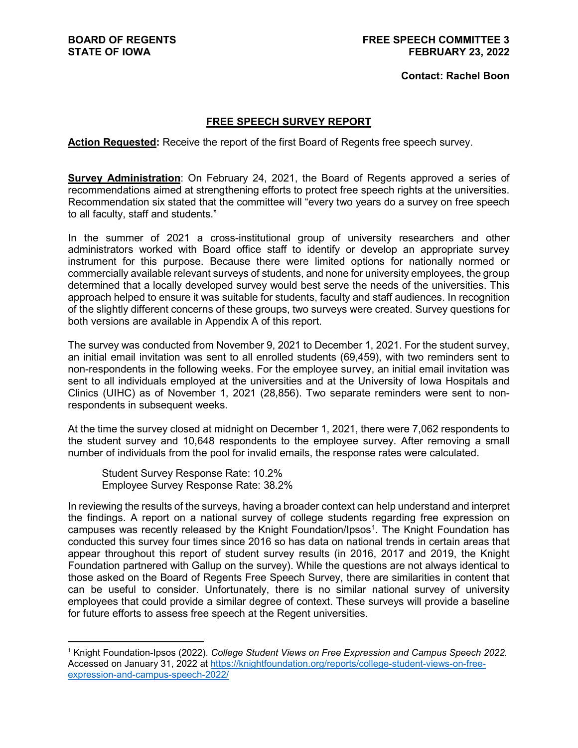#### **Contact: Rachel Boon**

#### **FREE SPEECH SURVEY REPORT**

**Action Requested:** Receive the report of the first Board of Regents free speech survey.

**Survey Administration**: On February 24, 2021, the Board of Regents approved a series of recommendations aimed at strengthening efforts to protect free speech rights at the universities. Recommendation six stated that the committee will "every two years do a survey on free speech to all faculty, staff and students."

In the summer of 2021 a cross-institutional group of university researchers and other administrators worked with Board office staff to identify or develop an appropriate survey instrument for this purpose. Because there were limited options for nationally normed or commercially available relevant surveys of students, and none for university employees, the group determined that a locally developed survey would best serve the needs of the universities. This approach helped to ensure it was suitable for students, faculty and staff audiences. In recognition of the slightly different concerns of these groups, two surveys were created. Survey questions for both versions are available in Appendix A of this report.

The survey was conducted from November 9, 2021 to December 1, 2021. For the student survey, an initial email invitation was sent to all enrolled students (69,459), with two reminders sent to non-respondents in the following weeks. For the employee survey, an initial email invitation was sent to all individuals employed at the universities and at the University of Iowa Hospitals and Clinics (UIHC) as of November 1, 2021 (28,856). Two separate reminders were sent to nonrespondents in subsequent weeks.

At the time the survey closed at midnight on December 1, 2021, there were 7,062 respondents to the student survey and 10,648 respondents to the employee survey. After removing a small number of individuals from the pool for invalid emails, the response rates were calculated.

Student Survey Response Rate: 10.2% Employee Survey Response Rate: 38.2%

In reviewing the results of the surveys, having a broader context can help understand and interpret the findings. A report on a national survey of college students regarding free expression on campuses was recently released by the Knight Foundation/Ipsos<sup>[1](#page-0-0)</sup>. The Knight Foundation has conducted this survey four times since 2016 so has data on national trends in certain areas that appear throughout this report of student survey results (in 2016, 2017 and 2019, the Knight Foundation partnered with Gallup on the survey). While the questions are not always identical to those asked on the Board of Regents Free Speech Survey, there are similarities in content that can be useful to consider. Unfortunately, there is no similar national survey of university employees that could provide a similar degree of context. These surveys will provide a baseline for future efforts to assess free speech at the Regent universities.

<span id="page-0-0"></span> <sup>1</sup> Knight Foundation-Ipsos (2022). *College Student Views on Free Expression and Campus Speech 2022.* Accessed on January 31, 2022 at [https://knightfoundation.org/reports/college-student-views-on-free](https://knightfoundation.org/reports/college-student-views-on-free-expression-and-campus-speech-2022/)[expression-and-campus-speech-2022/](https://knightfoundation.org/reports/college-student-views-on-free-expression-and-campus-speech-2022/)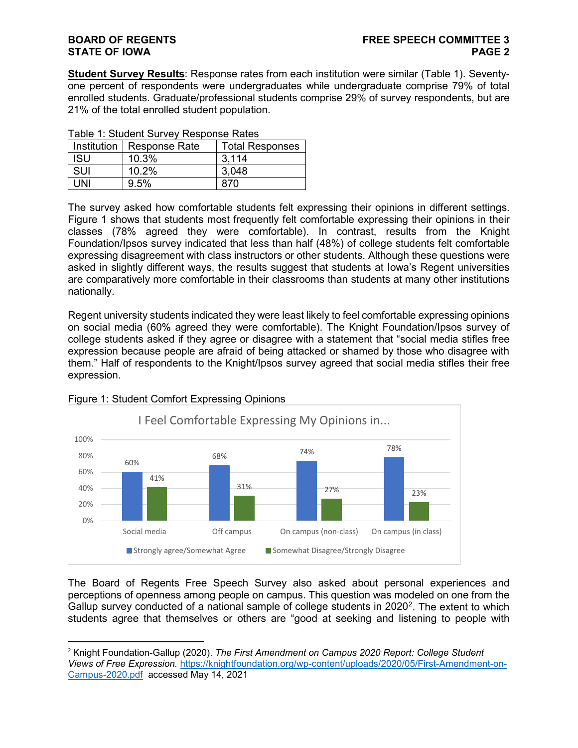**Student Survey Results**: Response rates from each institution were similar (Table 1). Seventyone percent of respondents were undergraduates while undergraduate comprise 79% of total enrolled students. Graduate/professional students comprise 29% of survey respondents, but are 21% of the total enrolled student population.

|            | Institution   Response Rate | <b>Total Responses</b> |  |
|------------|-----------------------------|------------------------|--|
| <b>ISU</b> | 10.3%                       | 3.114                  |  |
| SUI        | 10.2%                       | 3,048                  |  |
| JNI        | 9.5%                        | 870                    |  |

|  |  | Table 1: Student Survey Response Rates |  |  |  |  |
|--|--|----------------------------------------|--|--|--|--|
|--|--|----------------------------------------|--|--|--|--|

The survey asked how comfortable students felt expressing their opinions in different settings. Figure 1 shows that students most frequently felt comfortable expressing their opinions in their classes (78% agreed they were comfortable). In contrast, results from the Knight Foundation/Ipsos survey indicated that less than half (48%) of college students felt comfortable expressing disagreement with class instructors or other students. Although these questions were asked in slightly different ways, the results suggest that students at Iowa's Regent universities are comparatively more comfortable in their classrooms than students at many other institutions nationally.

Regent university students indicated they were least likely to feel comfortable expressing opinions on social media (60% agreed they were comfortable). The Knight Foundation/Ipsos survey of college students asked if they agree or disagree with a statement that "social media stifles free expression because people are afraid of being attacked or shamed by those who disagree with them." Half of respondents to the Knight/Ipsos survey agreed that social media stifles their free expression.



#### Figure 1: Student Comfort Expressing Opinions

The Board of Regents Free Speech Survey also asked about personal experiences and perceptions of openness among people on campus. This question was modeled on one from the Gallup survey conducted of a national sample of college students in [2](#page-1-0)020<sup>2</sup>. The extent to which students agree that themselves or others are "good at seeking and listening to people with

<span id="page-1-0"></span> <sup>2</sup> Knight Foundation-Gallup (2020). *The First Amendment on Campus 2020 Report: College Student Views of Free Expression.* [https://knightfoundation.org/wp-content/uploads/2020/05/First-Amendment-on-](https://knightfoundation.org/wp-content/uploads/2020/05/First-Amendment-on-Campus-2020.pdf)[Campus-2020.pdf](https://knightfoundation.org/wp-content/uploads/2020/05/First-Amendment-on-Campus-2020.pdf) accessed May 14, 2021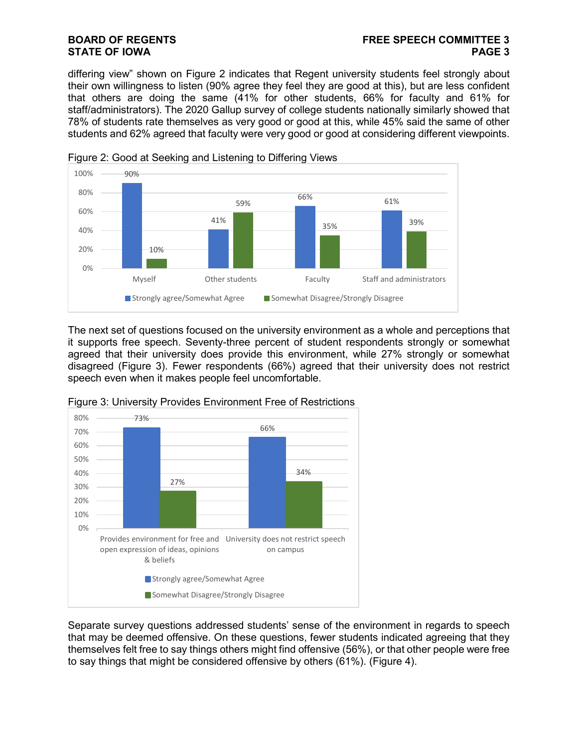differing view" shown on Figure 2 indicates that Regent university students feel strongly about their own willingness to listen (90% agree they feel they are good at this), but are less confident that others are doing the same (41% for other students, 66% for faculty and 61% for staff/administrators). The 2020 Gallup survey of college students nationally similarly showed that 78% of students rate themselves as very good or good at this, while 45% said the same of other students and 62% agreed that faculty were very good or good at considering different viewpoints.



Figure 2: Good at Seeking and Listening to Differing Views

The next set of questions focused on the university environment as a whole and perceptions that it supports free speech. Seventy-three percent of student respondents strongly or somewhat agreed that their university does provide this environment, while 27% strongly or somewhat disagreed (Figure 3). Fewer respondents (66%) agreed that their university does not restrict speech even when it makes people feel uncomfortable.



Figure 3: University Provides Environment Free of Restrictions

Separate survey questions addressed students' sense of the environment in regards to speech that may be deemed offensive. On these questions, fewer students indicated agreeing that they themselves felt free to say things others might find offensive (56%), or that other people were free to say things that might be considered offensive by others (61%). (Figure 4).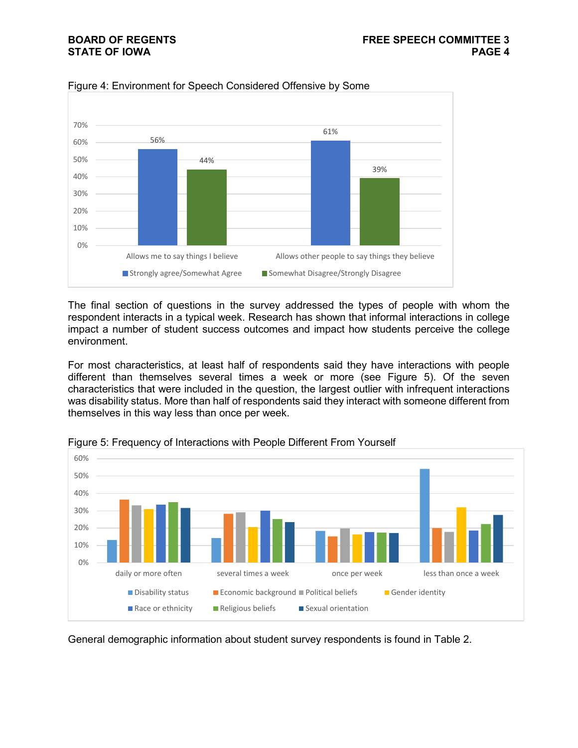

Figure 4: Environment for Speech Considered Offensive by Some

The final section of questions in the survey addressed the types of people with whom the respondent interacts in a typical week. Research has shown that informal interactions in college impact a number of student success outcomes and impact how students perceive the college environment.

For most characteristics, at least half of respondents said they have interactions with people different than themselves several times a week or more (see Figure 5). Of the seven characteristics that were included in the question, the largest outlier with infrequent interactions was disability status. More than half of respondents said they interact with someone different from themselves in this way less than once per week.



Figure 5: Frequency of Interactions with People Different From Yourself

General demographic information about student survey respondents is found in Table 2.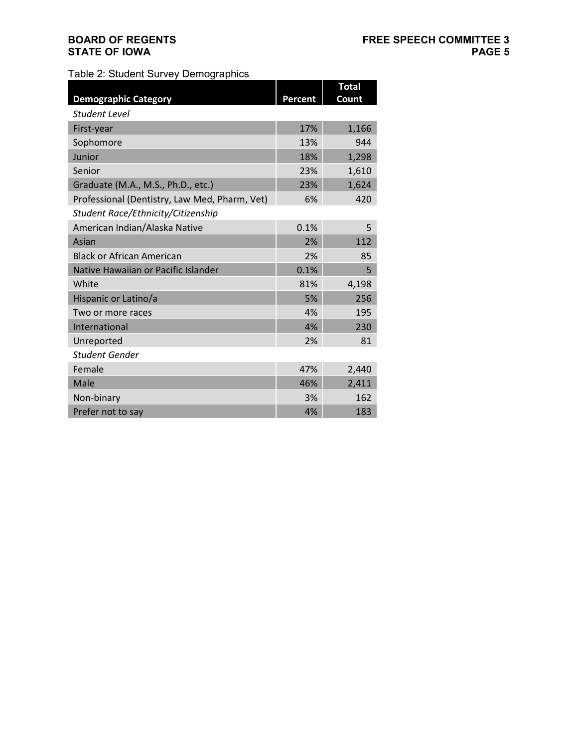Table 2: Student Survey Demographics

|                                               |         | <b>Total</b> |
|-----------------------------------------------|---------|--------------|
| <b>Demographic Category</b>                   | Percent | Count        |
| Student Level                                 |         |              |
| First-year                                    | 17%     | 1,166        |
| Sophomore                                     | 13%     | 944          |
| Junior                                        | 18%     | 1,298        |
| Senior                                        | 23%     | 1,610        |
| Graduate (M.A., M.S., Ph.D., etc.)            | 23%     | 1,624        |
| Professional (Dentistry, Law Med, Pharm, Vet) | 6%      | 420          |
| Student Race/Ethnicity/Citizenship            |         |              |
| American Indian/Alaska Native                 | 0.1%    | 5            |
| Asian                                         | 2%      | 112          |
| <b>Black or African American</b>              | 2%      | 85           |
| Native Hawaiian or Pacific Islander           | 0.1%    | 5            |
| White                                         | 81%     | 4,198        |
| Hispanic or Latino/a                          | 5%      | 256          |
| Two or more races                             | 4%      | 195          |
| International                                 | 4%      | 230          |
| Unreported                                    | 2%      | 81           |
| Student Gender                                |         |              |
| Female                                        | 47%     | 2,440        |
| Male                                          | 46%     | 2,411        |
| Non-binary                                    | 3%      | 162          |
| Prefer not to say                             | 4%      | 183          |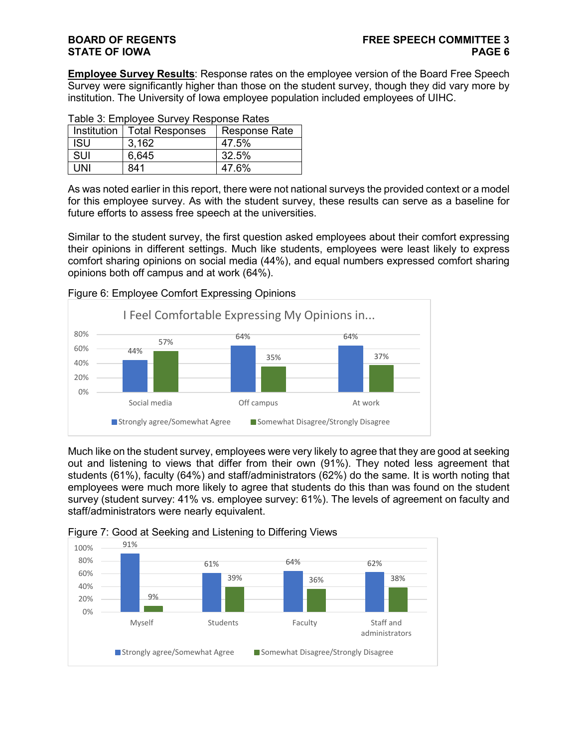**Employee Survey Results**: Response rates on the employee version of the Board Free Speech Survey were significantly higher than those on the student survey, though they did vary more by institution. The University of Iowa employee population included employees of UIHC.

| Table 5. Employee our vey response rates |                               |                      |  |
|------------------------------------------|-------------------------------|----------------------|--|
|                                          | Institution   Total Responses | <b>Response Rate</b> |  |
| <b>ISU</b>                               | 3.162                         | 47.5%                |  |
| <b>SUI</b>                               | 6,645                         | 32.5%                |  |
| UNI                                      | 841                           | 47.6%                |  |

As was noted earlier in this report, there were not national surveys the provided context or a model for this employee survey. As with the student survey, these results can serve as a baseline for future efforts to assess free speech at the universities.

Similar to the student survey, the first question asked employees about their comfort expressing their opinions in different settings. Much like students, employees were least likely to express comfort sharing opinions on social media (44%), and equal numbers expressed comfort sharing opinions both off campus and at work (64%).



Figure 6: Employee Comfort Expressing Opinions

Much like on the student survey, employees were very likely to agree that they are good at seeking out and listening to views that differ from their own (91%). They noted less agreement that students (61%), faculty (64%) and staff/administrators (62%) do the same. It is worth noting that employees were much more likely to agree that students do this than was found on the student survey (student survey: 41% vs. employee survey: 61%). The levels of agreement on faculty and staff/administrators were nearly equivalent.



**Strongly agree/Somewhat Agree Somewhat Disagree/Strongly Disagree** 

Figure 7: Good at Seeking and Listening to Differing Views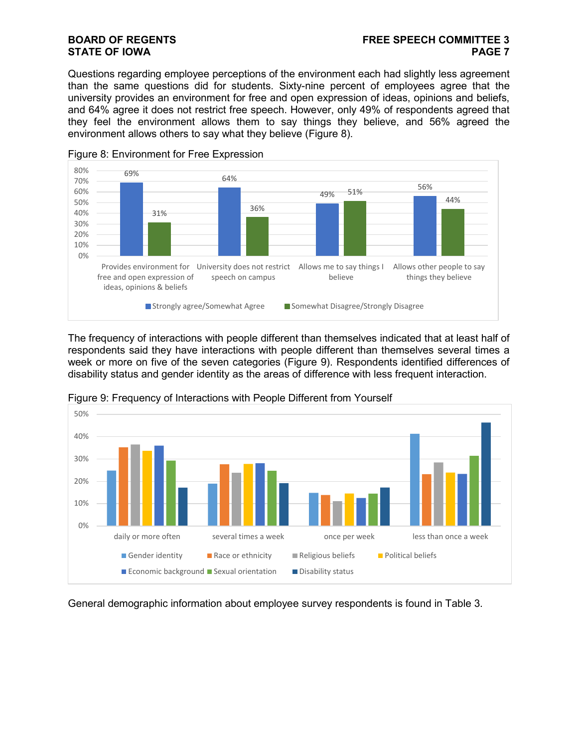Questions regarding employee perceptions of the environment each had slightly less agreement than the same questions did for students. Sixty-nine percent of employees agree that the university provides an environment for free and open expression of ideas, opinions and beliefs, and 64% agree it does not restrict free speech. However, only 49% of respondents agreed that they feel the environment allows them to say things they believe, and 56% agreed the environment allows others to say what they believe (Figure 8).



Figure 8: Environment for Free Expression

The frequency of interactions with people different than themselves indicated that at least half of respondents said they have interactions with people different than themselves several times a week or more on five of the seven categories (Figure 9). Respondents identified differences of disability status and gender identity as the areas of difference with less frequent interaction.



Figure 9: Frequency of Interactions with People Different from Yourself

General demographic information about employee survey respondents is found in Table 3.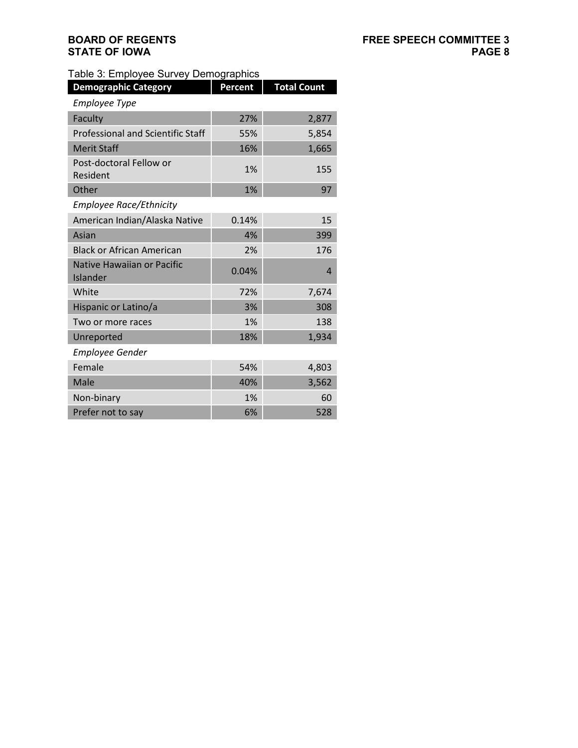### Table 3: Employee Survey Demographics

| <b>Demographic Category</b>              | <b>Percent</b> | <b>Total Count</b> |
|------------------------------------------|----------------|--------------------|
| <b>Employee Type</b>                     |                |                    |
| Faculty                                  | 27%            | 2,877              |
| <b>Professional and Scientific Staff</b> | 55%            | 5,854              |
| <b>Merit Staff</b>                       | 16%            | 1,665              |
| Post-doctoral Fellow or<br>Resident      | 1%             | 155                |
| Other                                    | 1%             | 97                 |
| <b>Employee Race/Ethnicity</b>           |                |                    |
| American Indian/Alaska Native            | 0.14%          | 15                 |
| Asian                                    | 4%             | 399                |
| <b>Black or African American</b>         | 2%             | 176                |
| Native Hawaiian or Pacific<br>Islander   | 0.04%          | 4                  |
| White                                    | 72%            | 7,674              |
| Hispanic or Latino/a                     | 3%             | 308                |
| Two or more races                        | 1%             | 138                |
| Unreported                               | 18%            | 1,934              |
| <b>Employee Gender</b>                   |                |                    |
| Female                                   | 54%            | 4,803              |
| Male                                     | 40%            | 3,562              |
| Non-binary                               | 1%             | 60                 |
| Prefer not to say                        | 6%             | 528                |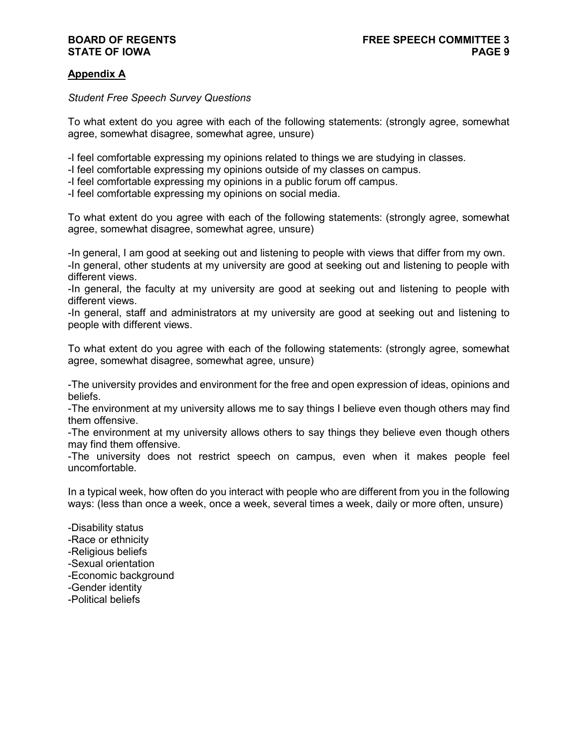### **Appendix A**

#### *Student Free Speech Survey Questions*

To what extent do you agree with each of the following statements: (strongly agree, somewhat agree, somewhat disagree, somewhat agree, unsure)

-I feel comfortable expressing my opinions related to things we are studying in classes.

- -I feel comfortable expressing my opinions outside of my classes on campus.
- -I feel comfortable expressing my opinions in a public forum off campus.
- -I feel comfortable expressing my opinions on social media.

To what extent do you agree with each of the following statements: (strongly agree, somewhat agree, somewhat disagree, somewhat agree, unsure)

-In general, I am good at seeking out and listening to people with views that differ from my own.

-In general, other students at my university are good at seeking out and listening to people with different views.

-In general, the faculty at my university are good at seeking out and listening to people with different views.

-In general, staff and administrators at my university are good at seeking out and listening to people with different views.

To what extent do you agree with each of the following statements: (strongly agree, somewhat agree, somewhat disagree, somewhat agree, unsure)

-The university provides and environment for the free and open expression of ideas, opinions and beliefs.

-The environment at my university allows me to say things I believe even though others may find them offensive.

-The environment at my university allows others to say things they believe even though others may find them offensive.

-The university does not restrict speech on campus, even when it makes people feel uncomfortable.

In a typical week, how often do you interact with people who are different from you in the following ways: (less than once a week, once a week, several times a week, daily or more often, unsure)

-Disability status -Race or ethnicity -Religious beliefs -Sexual orientation -Economic background -Gender identity -Political beliefs